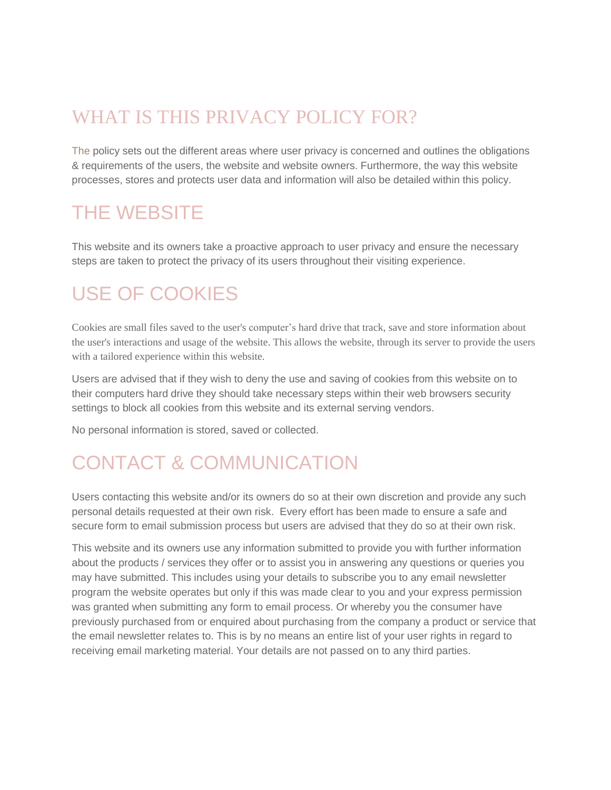#### WHAT IS THIS PRIVACY POLICY FOR?

The policy sets out the different areas where user privacy is concerned and outlines the obligations & requirements of the users, the website and website owners. Furthermore, the way this website processes, stores and protects user data and information will also be detailed within this policy.

#### THE WEBSITE

This website and its owners take a proactive approach to user privacy and ensure the necessary steps are taken to protect the privacy of its users throughout their visiting experience.

#### USE OF COOKIES

Cookies are small files saved to the user's computer's hard drive that track, save and store information about the user's interactions and usage of the website. This allows the website, through its server to provide the users with a tailored experience within this website.

Users are advised that if they wish to deny the use and saving of cookies from this website on to their computers hard drive they should take necessary steps within their web browsers security settings to block all cookies from this website and its external serving vendors.

No personal information is stored, saved or collected.

## CONTACT & COMMUNICATION

Users contacting this website and/or its owners do so at their own discretion and provide any such personal details requested at their own risk. Every effort has been made to ensure a safe and secure form to email submission process but users are advised that they do so at their own risk.

This website and its owners use any information submitted to provide you with further information about the products / services they offer or to assist you in answering any questions or queries you may have submitted. This includes using your details to subscribe you to any email newsletter program the website operates but only if this was made clear to you and your express permission was granted when submitting any form to email process. Or whereby you the consumer have previously purchased from or enquired about purchasing from the company a product or service that the email newsletter relates to. This is by no means an entire list of your user rights in regard to receiving email marketing material. Your details are not passed on to any third parties.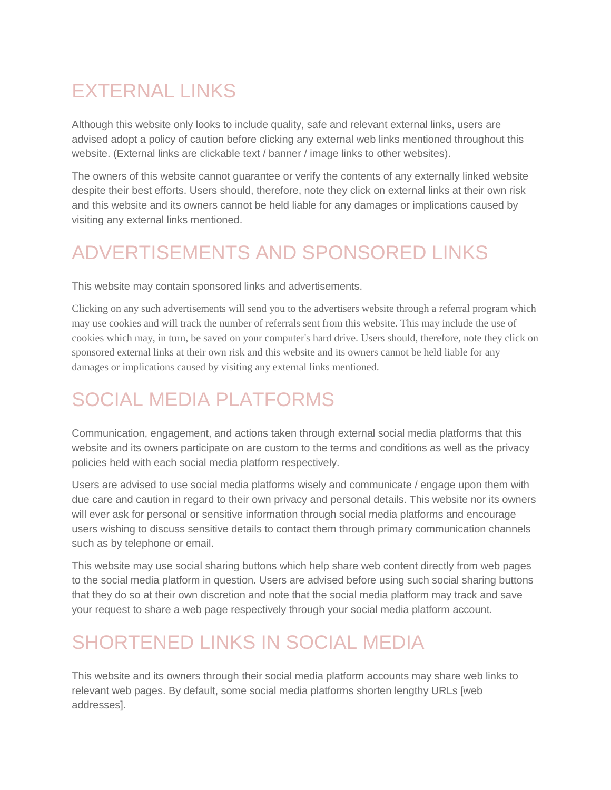## **EXTERNAL LINKS**

Although this website only looks to include quality, safe and relevant external links, users are advised adopt a policy of caution before clicking any external web links mentioned throughout this website. (External links are clickable text / banner / image links to other websites).

The owners of this website cannot guarantee or verify the contents of any externally linked website despite their best efforts. Users should, therefore, note they click on external links at their own risk and this website and its owners cannot be held liable for any damages or implications caused by visiting any external links mentioned.

#### ADVERTISEMENTS AND SPONSORED LINKS

This website may contain sponsored links and advertisements.

Clicking on any such advertisements will send you to the advertisers website through a referral program which may use cookies and will track the number of referrals sent from this website. This may include the use of cookies which may, in turn, be saved on your computer's hard drive. Users should, therefore, note they click on sponsored external links at their own risk and this website and its owners cannot be held liable for any damages or implications caused by visiting any external links mentioned.

# SOCIAL MEDIA PLATFORMS

Communication, engagement, and actions taken through external social media platforms that this website and its owners participate on are custom to the terms and conditions as well as the privacy policies held with each social media platform respectively.

Users are advised to use social media platforms wisely and communicate / engage upon them with due care and caution in regard to their own privacy and personal details. This website nor its owners will ever ask for personal or sensitive information through social media platforms and encourage users wishing to discuss sensitive details to contact them through primary communication channels such as by telephone or email.

This website may use social sharing buttons which help share web content directly from web pages to the social media platform in question. Users are advised before using such social sharing buttons that they do so at their own discretion and note that the social media platform may track and save your request to share a web page respectively through your social media platform account.

## SHORTENED LINKS IN SOCIAL MEDIA

This website and its owners through their social media platform accounts may share web links to relevant web pages. By default, some social media platforms shorten lengthy URLs [web addresses].